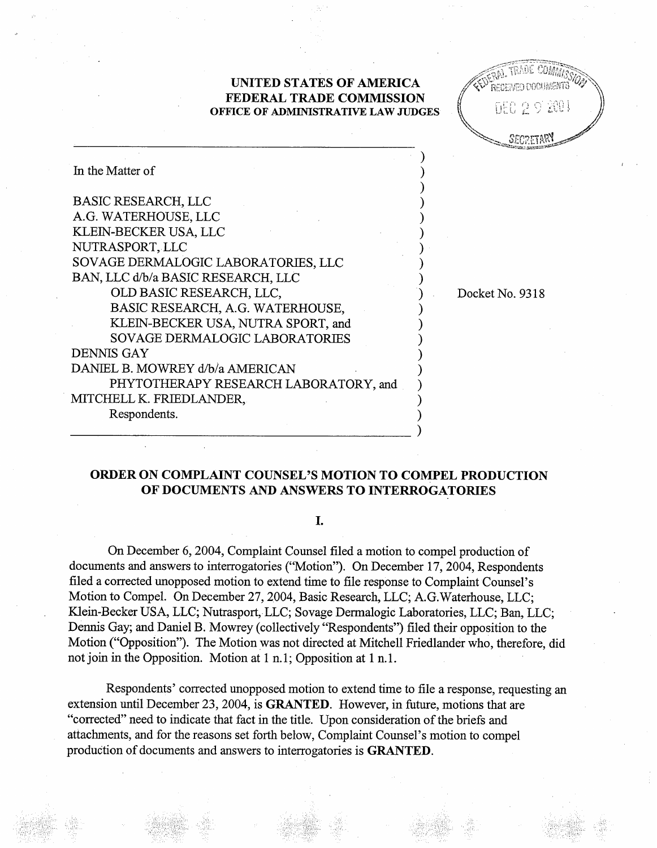## UNITED STATES OF AMERICA FEDERAL TRADE COMMISSION OFFICE OF ADMINISTRATIVE LAW JUDGES

| In the Matter of                      |                 |
|---------------------------------------|-----------------|
| <b>BASIC RESEARCH, LLC</b>            |                 |
| A.G. WATERHOUSE, LLC                  |                 |
| KLEIN-BECKER USA, LLC                 |                 |
| NUTRASPORT, LLC                       |                 |
| SOVAGE DERMALOGIC LABORATORIES, LLC   |                 |
| BAN, LLC d/b/a BASIC RESEARCH, LLC    |                 |
| OLD BASIC RESEARCH, LLC,              | Docket No. 9318 |
| BASIC RESEARCH, A.G. WATERHOUSE,      |                 |
| KLEIN-BECKER USA, NUTRA SPORT, and    |                 |
| SOVAGE DERMALOGIC LABORATORIES        |                 |
| <b>DENNIS GAY</b>                     |                 |
| DANIEL B. MOWREY d/b/a AMERICAN       |                 |
| PHYTOTHERAPY RESEARCH LABORATORY, and |                 |
| MITCHELL K. FRIEDLANDER,              |                 |
| Respondents.                          |                 |
|                                       |                 |

# ORDER ON COMPLAINT COUNSEL'S MOTION TO COMPEL PRODUCTION OF DOCUMENTS AND ANSWERS TO INTERROGATORIES

### I.

On December 6, 2004, Complaint Counsel filed a motion to compel production of documents and answers to interrogatories ("Motion"). On December 17, 2004, Respondents filed a corrected unopposed motion to extend time to file response to Complaint Counsel' Motion to Compel. On December 27, 2004, Basic Research, LLC; A.G.Waterhouse, LLC; Klein-Becker USA, LLC; Nutrasport, LLC; Sovage Dermalogic Laboratories, LLC; Ban, LLC; Dennis Gay; and Daniel B. Mowrey (collectively "Respondents") filed their opposition to the Motion ("Opposition"). The Motion was not directed at Mitchell Friedlander who, therefore, did not join in the Opposition. Motion at  $1 \text{ n.1}$ ; Opposition at  $1 \text{ n.1}$ .

Respondents' corrected unopposed motion to extend time to file a response, requesting an extension until December 23, 2004, is GRANTED. However, in future, motions that are "corrected" need to indicate that fact in the title. Upon consideration of the briefs and attachments, and for the reasons set forth below, Complaint Counsel's motion to compel production of documents and answers to interrogatories is **GRANTED**.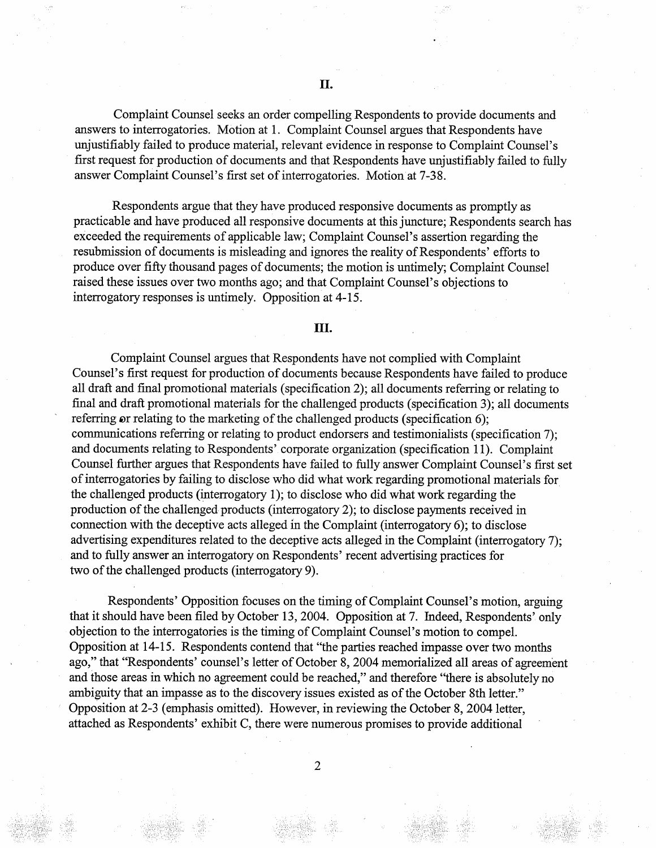Complaint Counsel seeks an order compelling Respondents to provide documents and answers to interrogatories. Motion at I. Complaint Counsel argues that Respondents have unjustifiably failed to produce material, relevant evidence in response to Complaint Counsel's first request for production of documents and that Respondents have unjustifiably failed to fully answer Complaint Counsel's first set of interrogatories. Motion at 7-38.

Respondents argue that they have produced responsive documents as promptly as practicable and have produced all responsive documents at this juncture; Respondents search has exceeded the requirements of applicable law; Complaint Counsel's assertion regarding the resubmission of documents is misleading and ignores the reality of Respondents' efforts to produce over fifty thousand pages of documents; the motion is untimely; Complaint Counsel raised these issues over two months ago; and that Complaint Counsel's objections to interrogatory responses is untimely. Opposition at 4-15.

### II.

Complaint Counsel argues that Respondents have not complied with Complaint Counsel's first request for production of documents because Respondents have failed to produce all draft and final promotional materials (specification 2); all documents referring or relating to final and draft promotional materials for the challenged products (specification 3); all documents referring or relating to the marketing of the challenged products (specification  $6$ ); communications referring or relating to product endorsers and testimonialists (specification 7); and documents relating to Respondents' corporate organzation (specification 11). Complaint Counsel further argues that Respondents have failed to fully answer Complaint Counsel's first set of interrogatories by failing to disclose who did what work regarding promotional materials for the challenged products (interrogatory I); to disclose who did what work regarding the production of the challenged products (interrogatory 2); to disclose payments received in connection with the deceptive acts alleged in the Complaint (interrogatory 6); to disclose advertising expenditures related to the deceptive acts alleged in the Complaint (interrogatory 7); and to fully answer an interrogatory on Respondents' recent advertising practices for two of the challenged products (interrogatory 9).

Respondents' Opposition focuses on the timing of Complaint Counsel's motion, arguing that it should have been filed by October 13, 2004. Opposition at 7. Indeed, Respondents' only objection to the interrogatories is the timing of Complaint Counsel's motion to compel. Opposition at 14-15. Respondents contend that "the parties reached impasse over two months" ago," that "Respondents' counsel's letter of October 8, 2004 memorialized all areas of agreement and those areas in which no agreement could be reached," and therefore "there is absolutely no ambiguity that an impasse as to the discovery issues existed as of the October 8th letter. Opposition at 2-3 (emphasis omitted). However, in reviewing the October 8, 2004 letter attached as Respondents' exhibit C , there were numerous promises to provide additional